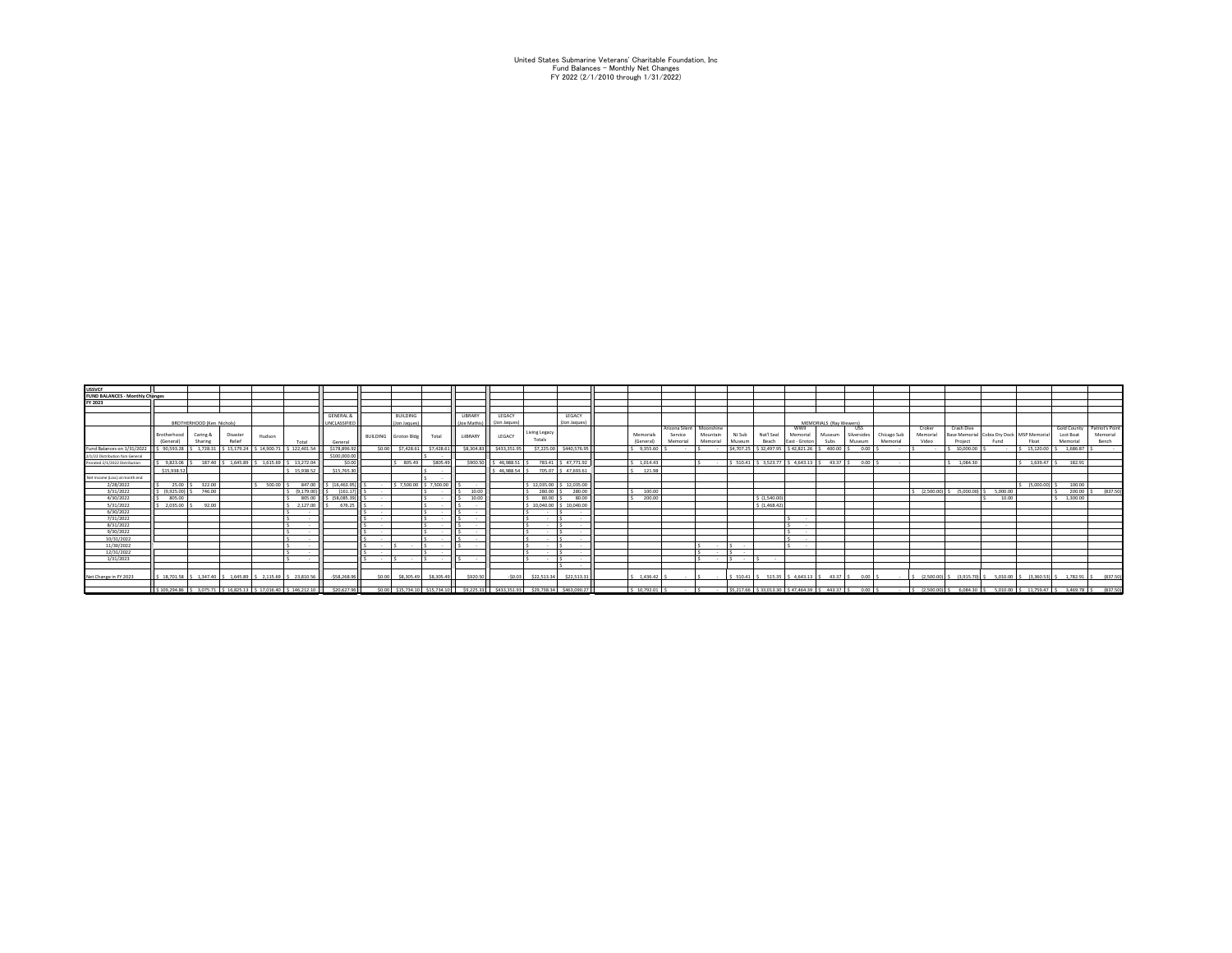United States Submarine Veterans' Charitable Foundation, Inc Fund Balances - Monthly Net Changes FY 2022 (2/1/2010 through 1/31/2022)

| <b>USSVCF</b>                                           |                                              |                |                                         |                                                                          |                  |                      |                        |              |                |                         |              |                |                          |          |           |                                                        |                        |        |             |             |                |                                         |          |                |            |                                                                               |
|---------------------------------------------------------|----------------------------------------------|----------------|-----------------------------------------|--------------------------------------------------------------------------|------------------|----------------------|------------------------|--------------|----------------|-------------------------|--------------|----------------|--------------------------|----------|-----------|--------------------------------------------------------|------------------------|--------|-------------|-------------|----------------|-----------------------------------------|----------|----------------|------------|-------------------------------------------------------------------------------|
| <b>FUND BALANCES - Monthly Changes</b>                  |                                              |                |                                         |                                                                          |                  |                      |                        |              |                |                         |              |                |                          |          |           |                                                        |                        |        |             |             |                |                                         |          |                |            |                                                                               |
| FY 2023                                                 |                                              |                |                                         |                                                                          |                  |                      |                        |              |                |                         |              |                |                          |          |           |                                                        |                        |        |             |             |                |                                         |          |                |            |                                                                               |
|                                                         |                                              |                |                                         |                                                                          |                  |                      |                        |              |                |                         |              |                |                          |          |           |                                                        |                        |        |             |             |                |                                         |          |                |            |                                                                               |
|                                                         |                                              |                |                                         |                                                                          | <b>GENERAL 8</b> | <b>BUILDING</b>      |                        | LIBRARY      | LEGACY         |                         | LEGACY       |                |                          |          |           |                                                        |                        |        |             |             |                |                                         |          |                |            |                                                                               |
|                                                         | BROTHERHOOD (Ken Nichols)                    |                |                                         | UNCLASSIFIED                                                             | (Jon Jaques      |                      | (Joe Mathis)           | (Jon Jaques) |                | (Jon Jaques)            |              |                |                          |          |           |                                                        | MEMORIALS (Ray Wewers) |        |             |             |                |                                         |          |                |            |                                                                               |
|                                                         |                                              |                |                                         |                                                                          |                  |                      |                        |              |                |                         |              |                | Arizona Silent Moonshine |          |           |                                                        | wwii                   |        | 1155.       |             | Croker         | Crash Dive                              |          |                |            | Gold County Patriot's Point                                                   |
|                                                         | Brotherhood                                  | Caring &       | Disaster                                | Hudson                                                                   |                  | BUILDING Groton Bldg | Total                  | LilBRARY     | LEGACY         | Living Legacy           |              | Memorials      | Service                  | Mountain | NJ Sub    | Nat'l Seal                                             | Memorial               | Museum | Silversides | Chicago Sub | Memorial       | Base Memorial Cobia Dry Dock MSP Memori |          |                | Lost Boat  | Memorial                                                                      |
|                                                         | (General)                                    | Sharing        | Relief                                  | Total                                                                    | General          |                      |                        |              |                | Totals                  |              | (General       | Memorial                 | Memorial | Museum    | Beach                                                  | East - Groton          | Subs   | Museum      | Memorial    | Video          | Project                                 | Fund     | Float          | Memorial   | Bench                                                                         |
| Fund Balances on 1/31/2022   \$ 90,593.28   \$ 1,728.31 |                                              |                | $S$ 15.179.24 5                         | S 122,401.5<br>14 900 71                                                 | \$178,896.9      | \$0.00<br>\$7,428.63 | \$7,428.61             | SR 304 R     | \$433,351.95   | \$7,225.00              | \$440,576.95 | 9.355.60       |                          | $\sim$   | S4.707.25 | \$32,497.95                                            | S 42.821.26            | 400.00 | 0.00        |             |                | 10,000.00                               |          | 15,120.00      | 1.686.87   |                                                                               |
| 2/1/22 Distribution form General                        |                                              |                |                                         |                                                                          | \$100,000.00     |                      |                        |              |                |                         |              |                |                          |          |           |                                                        |                        |        |             |             |                |                                         |          |                |            |                                                                               |
| Prorated 2/1/2022 Distribution                          |                                              |                | 9.823.06 S 187.40 S 1.645.89 S 1.615.69 | 13,272.04                                                                | so or            | 805.49               | \$805.49               | \$900.51     | 46.988.51      | 783.41 S 47.771.92      |              | $5 - 1.014.43$ |                          | $\sim$   |           | \$ 510.41 S 3.523.77 S 4.643.13 S 43.37 S 0.00 S       |                        |        |             |             |                | 1.084.30                                |          | $1.639.47$ S   | 182.91     |                                                                               |
|                                                         | \$15,938.5                                   |                |                                         | 15.938.52                                                                | \$15,765.3       |                      |                        |              | \$46,988,54 \$ | 705.07 \$ 47.693.61     |              | $5 - 121.98$   |                          |          |           |                                                        |                        |        |             |             |                |                                         |          |                |            |                                                                               |
| Net Income (Loss) at month end                          |                                              |                |                                         |                                                                          |                  |                      |                        |              |                |                         |              |                |                          |          |           |                                                        |                        |        |             |             |                |                                         |          |                |            |                                                                               |
| 2/28/2022                                               |                                              | 25.00 S 322.00 |                                         | 500.00<br>847.00                                                         | S (16.463.95)    |                      | S 7,500.00 \$ 7,500.00 |              |                | \$12,035.00 \$12,035.00 |              |                |                          |          |           |                                                        |                        |        |             |             |                |                                         |          | $(5.000.00)$ S | 100.00     |                                                                               |
| 3/31/2022                                               | $(9.925.00)$ S                               | 746.00         |                                         | (9.179.00)                                                               | (161.1)          |                      |                        | 10.00        |                | 280.00                  | 280.00       | 100.00         |                          |          |           |                                                        |                        |        |             |             | $(2.500.00)$ : | (5.000.00)                              | 5.000.00 |                | $200.00$ S | (837.50)                                                                      |
| 4/30/2022                                               | 805.00                                       |                |                                         | 805.00                                                                   | \$ (58,085.39)   |                      |                        | 10.00        |                | 80.00                   | 80.0         | 200.00         |                          |          |           | \$(1,540.00)                                           |                        |        |             |             |                |                                         | 10.00    |                | 1,300.00   |                                                                               |
| 5/31/2022                                               | $$2,035.00$ $$$                              | 92.00          |                                         | 2.127.00                                                                 | 676.25           |                      |                        |              |                | 10,040.00 \$            | 10,040.0     |                |                          |          |           | \$(1,468.42)                                           |                        |        |             |             |                |                                         |          |                |            |                                                                               |
| 6/30/2022                                               |                                              |                |                                         |                                                                          |                  |                      |                        |              |                |                         |              |                |                          |          |           |                                                        |                        |        |             |             |                |                                         |          |                |            |                                                                               |
| 7/31/2022                                               |                                              |                |                                         |                                                                          |                  | . .                  |                        |              |                |                         |              |                |                          |          |           |                                                        |                        |        |             |             |                |                                         |          |                |            |                                                                               |
| 8/31/2022                                               |                                              |                |                                         |                                                                          |                  |                      |                        |              |                |                         |              |                |                          |          |           |                                                        |                        |        |             |             |                |                                         |          |                |            |                                                                               |
| 9/30/2022                                               |                                              |                |                                         |                                                                          |                  | $\sim$               |                        |              |                | $\sim$                  |              |                |                          |          |           |                                                        | $\sim$                 |        |             |             |                |                                         |          |                |            |                                                                               |
| 10/31/2022                                              |                                              |                |                                         |                                                                          |                  |                      |                        |              |                | . .                     |              |                |                          |          |           |                                                        |                        |        |             |             |                |                                         |          |                |            |                                                                               |
| 11/30/2022                                              |                                              |                |                                         |                                                                          |                  |                      |                        |              |                |                         |              |                |                          | $\sim$   |           |                                                        |                        |        |             |             |                |                                         |          |                |            |                                                                               |
| 12/31/2022                                              |                                              |                |                                         |                                                                          |                  |                      |                        |              |                |                         |              |                |                          | $\sim$   | $\sim$    |                                                        |                        |        |             |             |                |                                         |          |                |            |                                                                               |
| 1/31/2023                                               |                                              |                |                                         |                                                                          |                  | $\sim$<br>. .        |                        |              |                |                         |              |                |                          | $\sim$   | $\sim$    |                                                        |                        |        |             |             |                |                                         |          |                |            |                                                                               |
|                                                         |                                              |                |                                         |                                                                          |                  |                      |                        |              |                |                         |              |                |                          |          |           |                                                        |                        |        |             |             |                |                                         |          |                |            |                                                                               |
|                                                         |                                              |                |                                         |                                                                          |                  |                      |                        |              |                |                         |              |                |                          |          |           |                                                        |                        |        |             |             |                |                                         |          |                |            |                                                                               |
| Net Change in FY 2023                                   | S 18,701.58 S 1.347.40 S 1.645.89 S 2.115.69 |                |                                         | 23,810.56                                                                | $-558.268.96$    | \$8,305.49<br>\$0.00 | \$8,305.49             | \$920.5      | $-50.03$       | \$22,513.34             | \$22,513.3   | 1.436.42       | . .                      | $\sim$   |           | \$ 510.41   \$ 515.35   \$ 4,643.13   \$ 43.37   \$    |                        |        | $0.00$ S    | $\sim$      |                |                                         |          |                |            | \$ (2.500.00) \$ (3.915.70) \$ 5.010.00 \$ (3.360.53) \$ 1.782.91 \$ (837.50) |
|                                                         |                                              |                |                                         |                                                                          |                  |                      |                        |              |                |                         |              |                |                          |          |           |                                                        |                        |        |             |             |                |                                         |          |                |            |                                                                               |
|                                                         |                                              |                |                                         | S 109.294.86 S 3.075.71 S 16.825.13 S 17.016.40 S 146.212.10 S 20.627.96 |                  | SO.00 \$15,734.10    | \$15,734.10            | 59.225.33    | \$433.351.93   | \$29,738.34             | \$463,090.2  | \$1079201      |                          | $\sim$   |           | \$5,217.66 \$33,013.30 \$47,464.39 \$443.37 \$ 0.00 \$ |                        |        |             | $\sim$      |                |                                         |          |                |            | 5 12.500.001 S 6.084.30 S 5.010.00 S 11.759.47 S 3.469.78 S 837.501           |